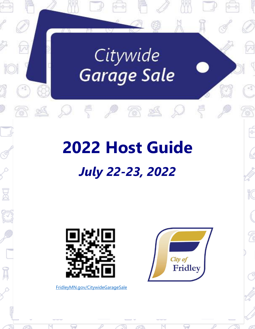# Citywide Garage Sale

# **2022 Host Guide** *July 22-23, 2022*



E

Ā

[FridleyMN.gov/CitywideGarageSale](https://www.fridleymn.gov/1544/Citywide-Garage-Sale)

₩



F

K

7

3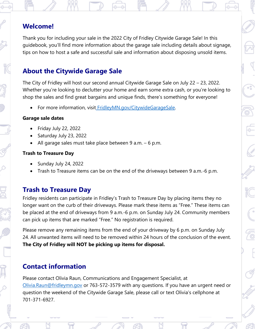## **Welcome!**

Thank you for including your sale in the 2022 City of Fridley Citywide Garage Sale! In this guidebook, you'll find more information about the garage sale including details about signage, tips on how to host a safe and successful sale and information about disposing unsold items.

## **About the Citywide Garage Sale**

The City of Fridley will host our second annual Citywide Garage Sale on July 22 – 23, 2022. Whether you're looking to declutter your home and earn some extra cash, or you're looking to shop the sales and find great bargains and unique finds, there's something for everyone!

• For more information, visit [FridleyMN.gov/CitywideGarageSale.](https://www.fridleymn.gov/1544/Citywide-Garage-Sale)

#### **Garage sale dates**

- Friday July 22, 2022
- Saturday July 23, 2022
- All garage sales must take place between 9 a.m. 6 p.m.

### **Trash to Treasure Day**

- Sunday July 24, 2022
- Trash to Treasure items can be on the end of the driveways between 9 a.m.-6 p.m.

## **Trash to Treasure Day**

Fridley residents can participate in Fridley's Trash to Treasure Day by placing items they no longer want on the curb of their driveways. Please mark these items as "Free." These items can be placed at the end of driveways from 9 a.m.-6 p.m. on Sunday July 24. Community members can pick up items that are marked "Free." No registration is required.

Please remove any remaining items from the end of your driveway by 6 p.m. on Sunday July 24. All unwanted items will need to be removed within 24 hours of the conclusion of the event. **The City of Fridley will NOT be picking up items for disposal.**

# **Contact information**

Please contact Olivia Raun, Communications and Engagement Specialist, at [Olivia.Raun@fridleymn.gov](mailto:Olivia.Raun@fridleymn.gov) or 763-572-3579 with any questions. If you have an urgent need or question the weekend of the Citywide Garage Sale, please call or text Olivia's cellphone at 701-371-6927.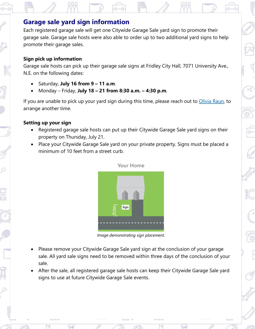## **Garage sale yard sign information**

Each registered garage sale will get one Citywide Garage Sale yard sign to promote their garage sale. Garage sale hosts were also able to order up to two additional yard signs to help promote their garage sales.

#### **Sign pick up information**

Garage sale hosts can pick up their garage sale signs at Fridley City Hall, 7071 University Ave., N.E. on the following dates:

- Saturday, **July 16 from 9 – 11 a.m**.
- Monday Friday, **July 18 – 21 from 8:30 a.m. – 4:30 p.m**.

If you are unable to pick up your yard sign during this time, please reach out to [Olivia Raun,](mailto:Olivia.Raun@fridleymn.gov) to arrange another time.

### **Setting up your sign**

- Registered garage sale hosts can put up their Citywide Garage Sale yard signs on their property on Thursday, July 21.
- Place your Citywide Garage Sale yard on your private property. Signs must be placed a minimum of 10 feet from a street curb.



Your Home

*Image demonstrating sign placement.*

- Please remove your Citywide Garage Sale yard sign at the conclusion of your garage sale. All yard sale signs need to be removed within three days of the conclusion of your sale.
- After the sale, all registered garage sale hosts can keep their Citywide Garage Sale yard signs to use at future Citywide Garage Sale events.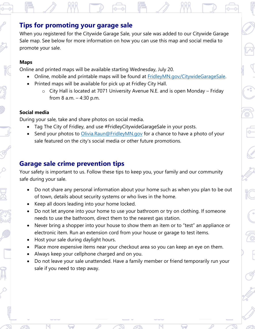## **Tips for promoting your garage sale**

When you registered for the Citywide Garage Sale, your sale was added to our Citywide Garage Sale map. See below for more information on how you can use this map and social media to promote your sale.

#### **Maps**

Online and printed maps will be available starting Wednesday, July 20.

- Online, mobile and printable maps will be found at [FridleyMN.gov/CitywideGarageSale.](https://www.fridleymn.gov/1544/Citywide-Garage-Sale)
- Printed maps will be available for pick up at Fridley City Hall.
	- o City Hall is located at 7071 University Avenue N.E. and is open Monday Friday from 8 a.m. – 4:30 p.m.

#### **Social media**

During your sale, take and share photos on social media.

- Tag The City of Fridley, and use #FridleyCitywideGarageSale in your posts.
- Send your photos to *Olivia.Raun@FridleyMN.gov* for a chance to have a photo of your sale featured on the city's social media or other future promotions.

## **Garage sale crime prevention tips**

Your safety is important to us. Follow these tips to keep you, your family and our community safe during your sale.

- Do not share any personal information about your home such as when you plan to be out of town, details about security systems or who lives in the home.
- Keep all doors leading into your home locked.
- Do not let anyone into your home to use your bathroom or try on clothing. If someone needs to use the bathroom, direct them to the nearest gas station.
- Never bring a shopper into your house to show them an item or to "test" an appliance or electronic item. Run an extension cord from your house or garage to test items.
- Host your sale during daylight hours.
- Place more expensive items near your checkout area so you can keep an eye on them.
- Always keep your cellphone charged and on you.
- Do not leave your sale unattended. Have a family member or friend temporarily run your sale if you need to step away.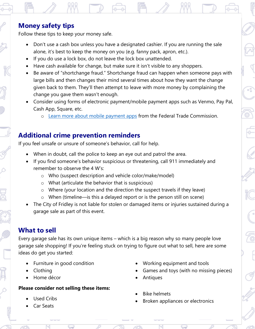## **Money safety tips**

Follow these tips to keep your money safe.

- Don't use a cash box unless you have a designated cashier. If you are running the sale alone, it's best to keep the money on you (e.g. fanny pack, apron, etc.).
- If you do use a lock box, do not leave the lock box unattended.
- Have cash available for change, but make sure it isn't visible to any shoppers.
- Be aware of "shortchange fraud." Shortchange fraud can happen when someone pays with large bills and then changes their mind several times about how they want the change given back to them. They'll then attempt to leave with more money by complaining the change you gave them wasn't enough.
- Consider using forms of electronic payment/mobile payment apps such as Venmo, Pay Pal, Cash App, Square, etc.
	- o [Learn more about mobile payment apps](https://consumer.ftc.gov/articles/mobile-payment-apps-how-avoid-scam-when-you-use-one) from the Federal Trade Commission.

## **Additional crime prevention reminders**

If you feel unsafe or unsure of someone's behavior, call for help.

- When in doubt, call the police to keep an eye out and patrol the area.
- If you find someone's behavior suspicious or threatening, call 911 immediately and remember to observe the 4 W's:
	- o Who (suspect description and vehicle color/make/model)
	- o What (articulate the behavior that is suspicious)
	- o Where (your location and the direction the suspect travels if they leave)
	- o When (timeline—is this a delayed report or is the person still on scene)
- The City of Fridley is not liable for stolen or damaged items or injuries sustained during a garage sale as part of this event.

## **What to sell**

Every garage sale has its own unique items – which is a big reason why so many people love garage sale shopping! If you're feeling stuck on trying to figure out what to sell, here are some ideas do get you started:

- Furniture in good condition
- Clothing
- Home décor

## **Please consider not selling these items:**

- Used Cribs
- Car Seats
- Working equipment and tools
- Games and toys (with no missing pieces)
- Antiques
- Bike helmets
- Broken appliances or electronics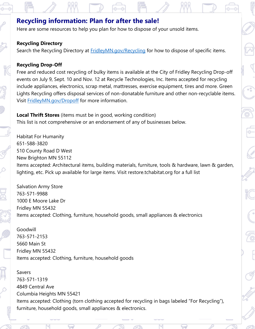## **Recycling information: Plan for after the sale!**

Here are some resources to help you plan for how to dispose of your unsold items.

#### **Recycling Directory**

Search the Recycling Directory at [FridleyMN.gov/Recycling](https://www.fridleymn.gov/recycling) for how to dispose of specific items.

#### **Recycling Drop-Off**

Free and reduced cost recycling of bulky items is available at the City of Fridley Recycling Drop-off events on July 9, Sept. 10 and Nov. 12 at Recycle Technologies, Inc. Items accepted for recycling include appliances, electronics, scrap metal, mattresses, exercise equipment, tires and more. Green Lights Recycling offers disposal services of non-donatable furniture and other non-recyclable items. Visit [FridleyMN.gov/Dropoff](https://www.fridleymn.gov/dropoff) for more information.

**Local Thrift Stores** (items must be in good, working condition) This list is not comprehensive or an endorsement of any of businesses below.

Habitat For Humanity 651-588-3820 510 County Road D West New Brighton MN 55112 Items accepted: Architectural items, building materials, furniture, tools & hardware, lawn & garden, lighting, etc. Pick up available for large items. Visit restore.tchabitat.org for a full list

Salvation Army Store 763-571-9988 1000 E Moore Lake Dr Fridley MN 55432 Items accepted: Clothing, furniture, household goods, small appliances & electronics

## Goodwill

763-571-2153 5660 Main St Fridley MN 55432 Items accepted: Clothing, furniture, household goods

### Savers

763-571-1319 4849 Central Ave Columbia Heights MN 55421 Items accepted: Clothing (torn clothing accepted for recycling in bags labeled "For Recycling"), furniture, household goods, small appliances & electronics.